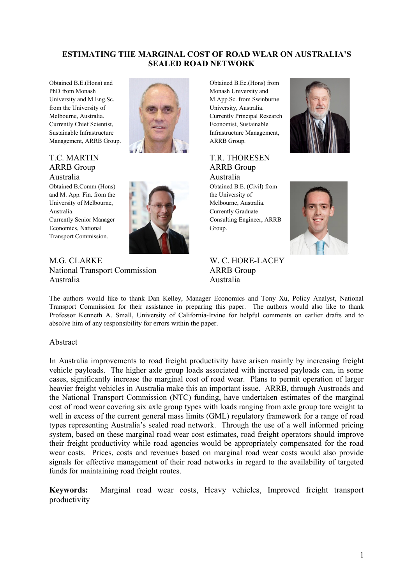## **ESTIMATING THE MARGINAL COST OF ROAD WEAR ON AUSTRALIA'S SEALED ROAD NETWORK**

Obtained B.E.(Hons) and PhD from Monash University and M.Eng.Sc. from the University of Melbourne, Australia. Currently Chief Scientist, Sustainable Infrastructure Management, ARRB Group.

#### T.C. MARTIN ARRB Group Australia

Obtained B.Comm (Hons) and M. App. Fin. from the University of Melbourne, Australia. Currently Senior Manager Economics, National Transport Commission.

M.G. CLARKE National Transport Commission Australia





Obtained B.Ec.(Hons) from Monash University and M.App.Sc. from Swinburne University, Australia. Currently Principal Research Economist, Sustainable Infrastructure Management, ARRB Group.

# T.R. THORESEN ARRB Group

Australia Obtained B.E. (Civil) from the University of Melbourne, Australia. Currently Graduate Consulting Engineer, ARRB Group.

# W. C. HORE-LACEY ARRB Group Australia





The authors would like to thank Dan Kelley, Manager Economics and Tony Xu, Policy Analyst, National Transport Commission for their assistance in preparing this paper. The authors would also like to thank Professor Kenneth A. Small, University of California-Irvine for helpful comments on earlier drafts and to absolve him of any responsibility for errors within the paper.

## Abstract

In Australia improvements to road freight productivity have arisen mainly by increasing freight vehicle payloads. The higher axle group loads associated with increased payloads can, in some cases, significantly increase the marginal cost of road wear. Plans to permit operation of larger heavier freight vehicles in Australia make this an important issue. ARRB, through Austroads and the National Transport Commission (NTC) funding, have undertaken estimates of the marginal cost of road wear covering six axle group types with loads ranging from axle group tare weight to well in excess of the current general mass limits (GML) regulatory framework for a range of road types representing Australia's sealed road network. Through the use of a well informed pricing system, based on these marginal road wear cost estimates, road freight operators should improve their freight productivity while road agencies would be appropriately compensated for the road wear costs. Prices, costs and revenues based on marginal road wear costs would also provide signals for effective management of their road networks in regard to the availability of targeted funds for maintaining road freight routes.

**Keywords:** Marginal road wear costs, Heavy vehicles, Improved freight transport productivity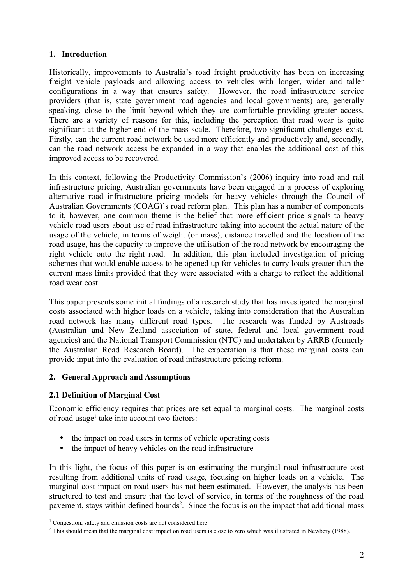## **1. Introduction**

Historically, improvements to Australia's road freight productivity has been on increasing freight vehicle payloads and allowing access to vehicles with longer, wider and taller configurations in a way that ensures safety. However, the road infrastructure service providers (that is, state government road agencies and local governments) are, generally speaking, close to the limit beyond which they are comfortable providing greater access. There are a variety of reasons for this, including the perception that road wear is quite significant at the higher end of the mass scale. Therefore, two significant challenges exist. Firstly, can the current road network be used more efficiently and productively and, secondly, can the road network access be expanded in a way that enables the additional cost of this improved access to be recovered.

In this context, following the Productivity Commission's (2006) inquiry into road and rail infrastructure pricing, Australian governments have been engaged in a process of exploring alternative road infrastructure pricing models for heavy vehicles through the Council of Australian Governments (COAG)'s road reform plan. This plan has a number of components to it, however, one common theme is the belief that more efficient price signals to heavy vehicle road users about use of road infrastructure taking into account the actual nature of the usage of the vehicle, in terms of weight (or mass), distance travelled and the location of the road usage, has the capacity to improve the utilisation of the road network by encouraging the right vehicle onto the right road. In addition, this plan included investigation of pricing schemes that would enable access to be opened up for vehicles to carry loads greater than the current mass limits provided that they were associated with a charge to reflect the additional road wear cost.

This paper presents some initial findings of a research study that has investigated the marginal costs associated with higher loads on a vehicle, taking into consideration that the Australian road network has many different road types. The research was funded by Austroads (Australian and New Zealand association of state, federal and local government road agencies) and the National Transport Commission (NTC) and undertaken by ARRB (formerly the Australian Road Research Board). The expectation is that these marginal costs can provide input into the evaluation of road infrastructure pricing reform.

# **2. General Approach and Assumptions**

# **2.1 Definition of Marginal Cost**

Economic efficiency requires that prices are set equal to marginal costs. The marginal costs of road usage<sup>[1](#page-1-0)</sup> take into account two factors:

- the impact on road users in terms of vehicle operating costs
- the impact of heavy vehicles on the road infrastructure

In this light, the focus of this paper is on estimating the marginal road infrastructure cost resulting from additional units of road usage, focusing on higher loads on a vehicle. The marginal cost impact on road users has not been estimated. However, the analysis has been structured to test and ensure that the level of service, in terms of the roughness of the road pavement, stays within defined bounds<sup>[2](#page-1-1)</sup>. Since the focus is on the impact that additional mass

<span id="page-1-0"></span><sup>&</sup>lt;sup>1</sup> Congestion, safety and emission costs are not considered here.

<span id="page-1-1"></span><sup>&</sup>lt;sup>2</sup> This should mean that the marginal cost impact on road users is close to zero which was illustrated in Newbery (1988).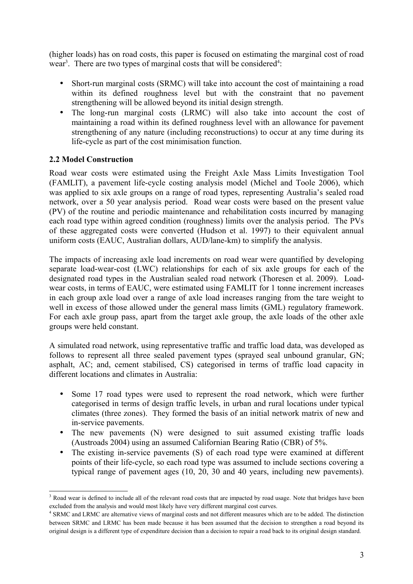(higher loads) has on road costs, this paper is focused on estimating the marginal cost of road wear<sup>[3](#page-2-0)</sup>. There are two types of marginal costs that will be considered<sup>[4](#page-2-1)</sup>:

- Short-run marginal costs (SRMC) will take into account the cost of maintaining a road within its defined roughness level but with the constraint that no pavement strengthening will be allowed beyond its initial design strength.
- The long-run marginal costs (LRMC) will also take into account the cost of maintaining a road within its defined roughness level with an allowance for pavement strengthening of any nature (including reconstructions) to occur at any time during its life-cycle as part of the cost minimisation function.

## **2.2 Model Construction**

Road wear costs were estimated using the Freight Axle Mass Limits Investigation Tool (FAMLIT), a pavement life-cycle costing analysis model (Michel and Toole 2006), which was applied to six axle groups on a range of road types, representing Australia's sealed road network, over a 50 year analysis period. Road wear costs were based on the present value (PV) of the routine and periodic maintenance and rehabilitation costs incurred by managing each road type within agreed condition (roughness) limits over the analysis period. The PVs of these aggregated costs were converted (Hudson et al. 1997) to their equivalent annual uniform costs (EAUC, Australian dollars, AUD/lane-km) to simplify the analysis.

The impacts of increasing axle load increments on road wear were quantified by developing separate load-wear-cost (LWC) relationships for each of six axle groups for each of the designated road types in the Australian sealed road network (Thoresen et al. 2009). Loadwear costs, in terms of EAUC, were estimated using FAMLIT for 1 tonne increment increases in each group axle load over a range of axle load increases ranging from the tare weight to well in excess of those allowed under the general mass limits (GML) regulatory framework. For each axle group pass, apart from the target axle group, the axle loads of the other axle groups were held constant.

A simulated road network, using representative traffic and traffic load data, was developed as follows to represent all three sealed pavement types (sprayed seal unbound granular, GN; asphalt, AC; and, cement stabilised, CS) categorised in terms of traffic load capacity in different locations and climates in Australia:

- Some 17 road types were used to represent the road network, which were further categorised in terms of design traffic levels, in urban and rural locations under typical climates (three zones). They formed the basis of an initial network matrix of new and in-service pavements.
- The new pavements (N) were designed to suit assumed existing traffic loads (Austroads 2004) using an assumed Californian Bearing Ratio (CBR) of 5%.
- The existing in-service pavements (S) of each road type were examined at different points of their life-cycle, so each road type was assumed to include sections covering a typical range of pavement ages (10, 20, 30 and 40 years, including new pavements).

<span id="page-2-0"></span> $3$  Road wear is defined to include all of the relevant road costs that are impacted by road usage. Note that bridges have been excluded from the analysis and would most likely have very different marginal cost curves.

<span id="page-2-1"></span><sup>&</sup>lt;sup>4</sup> SRMC and LRMC are alternative views of marginal costs and not different measures which are to be added. The distinction between SRMC and LRMC has been made because it has been assumed that the decision to strengthen a road beyond its original design is a different type of expenditure decision than a decision to repair a road back to its original design standard.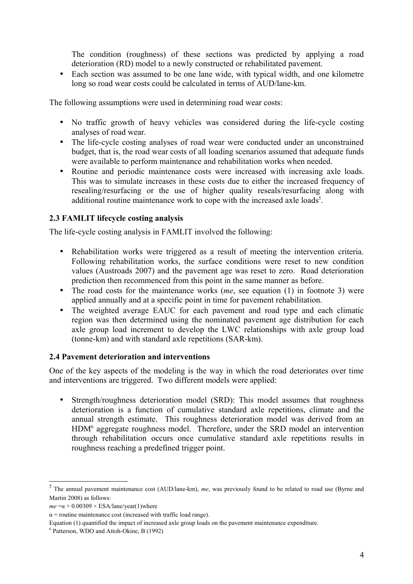The condition (roughness) of these sections was predicted by applying a road deterioration (RD) model to a newly constructed or rehabilitated pavement.

• Each section was assumed to be one lane wide, with typical width, and one kilometre long so road wear costs could be calculated in terms of AUD/lane-km.

The following assumptions were used in determining road wear costs:

- No traffic growth of heavy vehicles was considered during the life-cycle costing analyses of road wear.
- The life-cycle costing analyses of road wear were conducted under an unconstrained budget, that is, the road wear costs of all loading scenarios assumed that adequate funds were available to perform maintenance and rehabilitation works when needed.
- Routine and periodic maintenance costs were increased with increasing axle loads. This was to simulate increases in these costs due to either the increased frequency of resealing/resurfacing or the use of higher quality reseals/resurfacing along with additional routine maintenance work to cope with the increased axle loads<sup>[5](#page-3-0)</sup>.

# **2.3 FAMLIT lifecycle costing analysis**

The life-cycle costing analysis in FAMLIT involved the following:

- Rehabilitation works were triggered as a result of meeting the intervention criteria. Following rehabilitation works, the surface conditions were reset to new condition values (Austroads 2007) and the pavement age was reset to zero. Road deterioration prediction then recommenced from this point in the same manner as before.
- The road costs for the maintenance works *(me, see equation (1)* in footnote 3) were applied annually and at a specific point in time for pavement rehabilitation.
- The weighted average EAUC for each pavement and road type and each climatic region was then determined using the nominated pavement age distribution for each axle group load increment to develop the LWC relationships with axle group load (tonne-km) and with standard axle repetitions (SAR-km).

## **2.4 Pavement deterioration and interventions**

One of the key aspects of the modeling is the way in which the road deteriorates over time and interventions are triggered. Two different models were applied:

• Strength/roughness deterioration model (SRD): This model assumes that roughness deterioration is a function of cumulative standard axle repetitions, climate and the annual strength estimate. This roughness deterioration model was derived from an HDM<sup>[6](#page-3-1)</sup> aggregate roughness model. Therefore, under the SRD model an intervention through rehabilitation occurs once cumulative standard axle repetitions results in roughness reaching a predefined trigger point.

<span id="page-3-0"></span><sup>&</sup>lt;sup>5</sup> The annual pavement maintenance cost (AUD/lane-km), *me*, was previously found to be related to road use (Byrne and Martin 2008) as follows:

 $me = \alpha + 0.00309 \times ESA/lane/year(1)$  where

 $\alpha$  = routine maintenance cost (increased with traffic load range).

Equation (1) quantified the impact of increased axle group loads on the pavement maintenance expenditure.

<span id="page-3-1"></span><sup>6</sup> Patterson, WDO and Attoh-Okine, B (1992)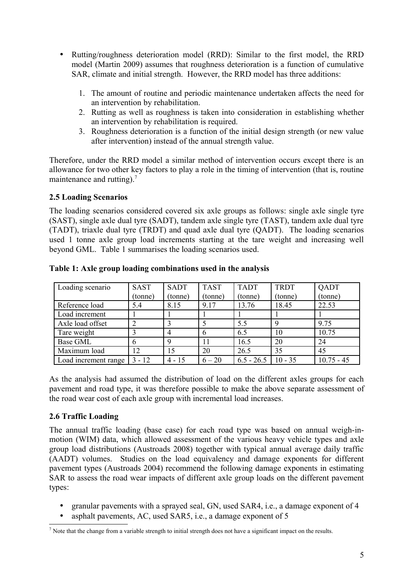- Rutting/roughness deterioration model (RRD): Similar to the first model, the RRD model (Martin 2009) assumes that roughness deterioration is a function of cumulative SAR, climate and initial strength. However, the RRD model has three additions:
	- 1. The amount of routine and periodic maintenance undertaken affects the need for an intervention by rehabilitation.
	- 2. Rutting as well as roughness is taken into consideration in establishing whether an intervention by rehabilitation is required.
	- 3. Roughness deterioration is a function of the initial design strength (or new value after intervention) instead of the annual strength value.

Therefore, under the RRD model a similar method of intervention occurs except there is an allowance for two other key factors to play a role in the timing of intervention (that is, routine maintenance and rutting). $<sup>7</sup>$  $<sup>7</sup>$  $<sup>7</sup>$ </sup>

# **2.5 Loading Scenarios**

The loading scenarios considered covered six axle groups as follows: single axle single tyre (SAST), single axle dual tyre (SADT), tandem axle single tyre (TAST), tandem axle dual tyre (TADT), triaxle dual tyre (TRDT) and quad axle dual tyre (QADT). The loading scenarios used 1 tonne axle group load increments starting at the tare weight and increasing well beyond GML. Table 1 summarises the loading scenarios used.

| Loading scenario     | <b>SAST</b> | <b>SADT</b> | <b>TAST</b> | <b>TADT</b>  | <b>TRDT</b> | QADT         |
|----------------------|-------------|-------------|-------------|--------------|-------------|--------------|
|                      | (tonne)     | (tonne)     | (tonne)     | (tonne)      | (tonne)     | (tonne)      |
| Reference load       | 5.4         | 8.15        | 9.17        | 13.76        | 18.45       | 22.53        |
| Load increment       |             |             |             |              |             |              |
| Axle load offset     |             |             |             | 5.5          | 9           | 9.75         |
| Tare weight          |             | 4           | n           | 6.5          | 10          | 10.75        |
| Base GML             |             | 9           | 11          | 16.5         | 20          | 24           |
| Maximum load         | 12          | 15          | 20          | 26.5         | 35          | 45           |
| Load increment range | $3 - 12$    | $4 - 15$    | $6 - 20$    | $6.5 - 26.5$ | $10 - 35$   | $10.75 - 45$ |

**Table 1: Axle group loading combinations used in the analysis**

As the analysis had assumed the distribution of load on the different axles groups for each pavement and road type, it was therefore possible to make the above separate assessment of the road wear cost of each axle group with incremental load increases.

# **2.6 Traffic Loading**

The annual traffic loading (base case) for each road type was based on annual weigh-inmotion (WIM) data, which allowed assessment of the various heavy vehicle types and axle group load distributions (Austroads 2008) together with typical annual average daily traffic (AADT) volumes. Studies on the load equivalency and damage exponents for different pavement types (Austroads 2004) recommend the following damage exponents in estimating SAR to assess the road wear impacts of different axle group loads on the different pavement types:

- granular pavements with a sprayed seal, GN, used SAR4, i.e., a damage exponent of 4
- asphalt pavements, AC, used SAR5, i.e., a damage exponent of 5

<span id="page-4-0"></span> $<sup>7</sup>$  Note that the change from a variable strength to initial strength does not have a significant impact on the results.</sup>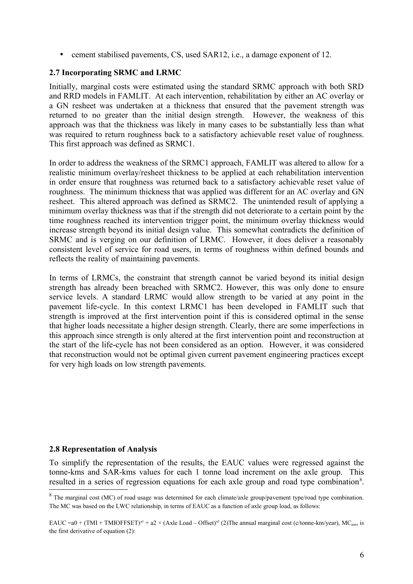• cement stabilised pavements, CS, used SAR12, i.e., a damage exponent of 12.

#### **2.7 Incorporating SRMC and LRMC**

Initially, marginal costs were estimated using the standard SRMC approach with both SRD and RRD models in FAMLIT. At each intervention, rehabilitation by either an AC overlay or a GN resheet was undertaken at a thickness that ensured that the pavement strength was returned to no greater than the initial design strength. However, the weakness of this approach was that the thickness was likely in many cases to be substantially less than what was required to return roughness back to a satisfactory achievable reset value of roughness. This first approach was defined as SRMC1.

In order to address the weakness of the SRMC1 approach, FAMLIT was altered to allow for a realistic minimum overlay/resheet thickness to be applied at each rehabilitation intervention in order ensure that roughness was returned back to a satisfactory achievable reset value of roughness. The minimum thickness that was applied was different for an AC overlay and GN resheet. This altered approach was defined as SRMC2. The unintended result of applying a minimum overlay thickness was that if the strength did not deteriorate to a certain point by the time roughness reached its intervention trigger point, the minimum overlay thickness would increase strength beyond its initial design value. This somewhat contradicts the definition of SRMC and is verging on our definition of LRMC. However, it does deliver a reasonably consistent level of service for road users, in terms of roughness within defined bounds and reflects the reality of maintaining pavements.

In terms of LRMCs, the constraint that strength cannot be varied beyond its initial design strength has already been breached with SRMC2. However, this was only done to ensure service levels. A standard LRMC would allow strength to be varied at any point in the pavement life-cycle. In this context LRMC1 has been developed in FAMLIT such that strength is improved at the first intervention point if this is considered optimal in the sense that higher loads necessitate a higher design strength. Clearly, there are some imperfections in this approach since strength is only altered at the first intervention point and reconstruction at the start of the life-cycle has not been considered as an option. However, it was considered that reconstruction would not be optimal given current pavement engineering practices except for very high loads on low strength pavements.

#### **2.8 Representation of Analysis**

To simplify the representation of the results, the EAUC values were regressed against the tonne-kms and SAR-kms values for each 1 tonne load increment on the axle group. This resulted in a series of regression equations for each axle group and road type combination<sup>[8](#page-5-0)</sup>.

<span id="page-5-0"></span> $8$  The marginal cost (MC) of road usage was determined for each climate/axle group/pavement type/road type combination. The MC was based on the LWC relationship, in terms of EAUC as a function of axle group load, as follows:

EAUC =  $a0 + (TMI + TMIOFFSET)^{a1} + a2 \times (Axle Load - Offset)^{a3}$  (2) The annual marginal cost (c/tonne-km/year), MC<sub>ann</sub>, is the first derivative of equation (2):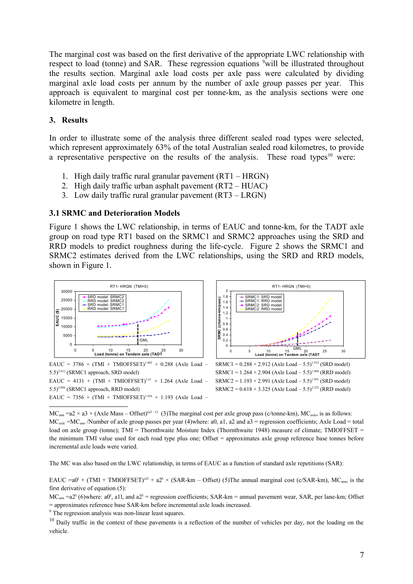The marginal cost was based on the first derivative of the appropriate LWC relationship with respect to load (tonne) and SAR. These regression equations <sup>[9](#page-6-0)</sup>will be illustrated throughout the results section. Marginal axle load costs per axle pass were calculated by dividing marginal axle load costs per annum by the number of axle group passes per year. This approach is equivalent to marginal cost per tonne-km, as the analysis sections were one kilometre in length.

#### **3. Results**

In order to illustrate some of the analysis three different sealed road types were selected, which represent approximately 63% of the total Australian sealed road kilometres, to provide a representative perspective on the results of the analysis. These road types<sup>[10](#page-6-1)</sup> were:

- 1. High daily traffic rural granular pavement (RT1 HRGN)
- 2. High daily traffic urban asphalt pavement (RT2 HUAC)
- 3. Low daily traffic rural granular pavement (RT3 LRGN)

#### **3.1 SRMC and Deterioration Models**

Figure 1 shows the LWC relationship, in terms of EAUC and tonne-km, for the TADT axle group on road type RT1 based on the SRMC1 and SRMC2 approaches using the SRD and RRD models to predict roughness during the life-cycle. Figure 2 shows the SRMC1 and SRMC2 estimates derived from the LWC relationships, using the SRD and RRD models, shown in Figure 1.



EAUC = 3786 + (TMI + TMIOFFSET)<sup>1.602</sup> + 0.288 (Axle Load – 5.5)2.912 (SRMC1 approach, SRD model) EAUC = 4131 + (TMI + TMIOFFSET)<sup>1.61</sup> + 1.264 (Axle Load – 5.5)2.904 (SRMC1 approach, RRD model) EAUC = 7356 + (TMI + TMIOFFSET)<sup>1.936</sup> + 1.193 (Axle Load –



SRMC1 =  $0.288 \times 2.912$  (Axle Load – 5.5)<sup>1.912</sup> (SRD model) SRMC1 =  $1.264 \times 2.904$  (Axle Load – 5.5)<sup>1.904</sup> (RRD model) SRMC2 =  $1.193 \times 2.991$  (Axle Load – 5.5)<sup>1.991</sup> (SRD model) SRMC2 =  $0.618 \times 3.325$  (Axle Load – 5.5)<sup>2.325</sup> (RRD model)

 $MC<sub>ann</sub> = a2 \times a3 \times (Axle Mass - Offset)<sup>(a3 - 1)</sup>$  (3)The marginal cost per axle group pass (c/tonne-km),  $MC<sub>axle</sub>$ , is as follows:  $MC<sub>axle</sub> = MC<sub>ann</sub> /Number of axle group passes per year (4) where: a0, a1, a2 and a3 = regression coefficients; Axle Load = total$ load on axle group (tonne); TMI = Thornthwaite Moisture Index (Thornthwaite 1948) measure of climate; TMIOFFSET = the minimum TMI value used for each road type plus one; Offset = approximates axle group reference base tonnes before incremental axle loads were varied.

The MC was also based on the LWC relationship, in terms of EAUC as a function of standard axle repetitions (SAR):

EAUC =  $a0^1$  + (TMI + TMIOFFSET)<sup>a11</sup> +  $a2^1$  × (SAR-km – Offset) (5)The annual marginal cost (c/SAR-km), MC<sub>ann</sub>, is the first derivative of equation (5):

 $MC<sub>ann</sub> = a2<sup>1</sup>$  (6)where: a0<sup>1</sup>, a11, and a2<sup>1</sup> = regression coefficients; SAR-km = annual pavement wear, SAR, per lane-km; Offset = approximates reference base SAR-km before incremental axle loads increased.

<span id="page-6-0"></span><sup>9</sup> The regression analysis was non-linear least squares.

<span id="page-6-1"></span> $10$  Daily traffic in the context of these pavements is a reflection of the number of vehicles per day, not the loading on the vehicle.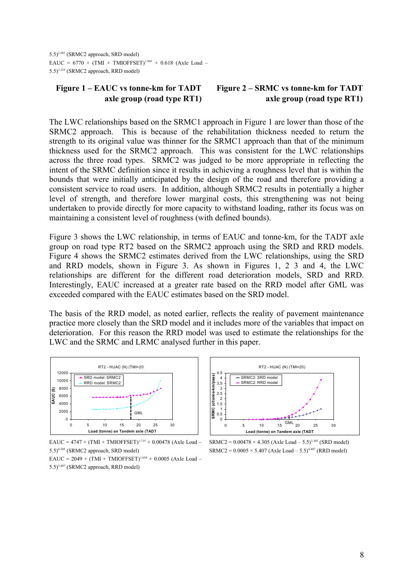#### **Figure 1 – EAUC vs tonne-km for TADT axle group (road type RT1) Figure 2 – SRMC vs tonne-km for TADT axle group (road type RT1)**

The LWC relationships based on the SRMC1 approach in Figure 1 are lower than those of the SRMC2 approach. This is because of the rehabilitation thickness needed to return the strength to its original value was thinner for the SRMC1 approach than that of the minimum thickness used for the SRMC2 approach. This was consistent for the LWC relationships across the three road types. SRMC2 was judged to be more appropriate in reflecting the intent of the SRMC definition since it results in achieving a roughness level that is within the bounds that were initially anticipated by the design of the road and therefore providing a consistent service to road users. In addition, although SRMC2 results in potentially a higher level of strength, and therefore lower marginal costs, this strengthening was not being undertaken to provide directly for more capacity to withstand loading, rather its focus was on maintaining a consistent level of roughness (with defined bounds).

Figure 3 shows the LWC relationship, in terms of EAUC and tonne-km, for the TADT axle group on road type RT2 based on the SRMC2 approach using the SRD and RRD models. Figure 4 shows the SRMC2 estimates derived from the LWC relationships, using the SRD and RRD models, shown in Figure 3. As shown in Figures 1, 2 3 and 4, the LWC relationships are different for the different road deterioration models, SRD and RRD. Interestingly, EAUC increased at a greater rate based on the RRD model after GML was exceeded compared with the EAUC estimates based on the SRD model.

The basis of the RRD model, as noted earlier, reflects the reality of pavement maintenance practice more closely than the SRD model and it includes more of the variables that impact on deterioration. For this reason the RRD model was used to estimate the relationships for the LWC and the SRMC and LRMC analysed further in this paper.



EAUC =  $4747 + (TMI + TMIOFFSET)^{1.715} + 0.00478$  (Axle Load – 5.5)4.305 (SRMC2 approach, SRD model)

EAUC =  $2049 + (TMI + TMIOFFSET)^{1.654} + 0.0005$  (Axle Load – 5.5)5.407 (SRMC2 approach, RRD model)



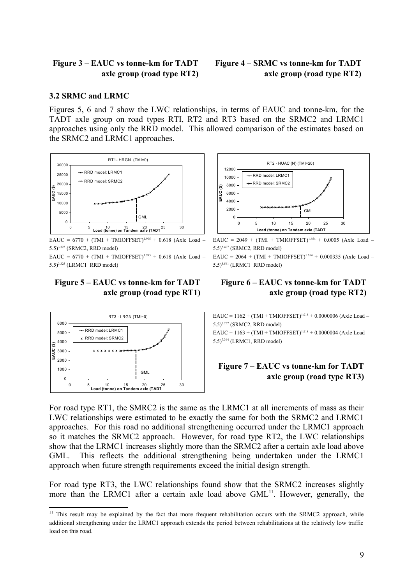## **Figure 3 – EAUC vs tonne-km for TADT axle group (road type RT2)**

## **Figure 4 – SRMC vs tonne-km for TADT axle group (road type RT2)**

#### **3.2 SRMC and LRMC**

Figures 5, 6 and 7 show the LWC relationships, in terms of EAUC and tonne-km, for the TADT axle group on road types RTI, RT2 and RT3 based on the SRMC2 and LRMC1 approaches using only the RRD model. This allowed comparison of the estimates based on the SRMC2 and LRMC1 approaches.



EAUC =  $6770 + (TMI + TMIOFFSET)^{1.995} + 0.618$  (Axle Load 5.5)3.325 (SRMC2, RRD model)

EAUC =  $6770 + (TMI + TMIOFFSET)^{1.995} + 0.618$  (Axle Load – 5.5)3.325 (LRMC1 RRD model)

## **Figure 5 – EAUC vs tonne-km for TADT axle group (road type RT1)**





EAUC =  $2049 + (TMI + TMIOFFSET)^{1.654} + 0.0005$  (Axle Load – 5.5)5.407 (SRMC2, RRD model)

EAUC =  $2064 + (TMI + TMIOFFSET)^{1.654} + 0.000335$  (Axle Load – 5.5)5.561 (LRMC1 RRD model)

## **Figure 6 – EAUC vs tonne-km for TADT axle group (road type RT2)**

 $EAUC = 1162 + (TMI + TMIOFFSET)^{1.918} + 0.0000006$  (Axle Load – 5.5)7.257 (SRMC2, RRD model) EAUC =  $1163 + (TMI + TMIOFFSET)^{1.918} + 0.0000004$  (Axle Load – 5.5)7.364 (LRMC1, RRD model)

## **Figure 7 – EAUC vs tonne-km for TADT axle group (road type RT3)**

For road type RT1, the SMRC2 is the same as the LRMC1 at all increments of mass as their LWC relationships were estimated to be exactly the same for both the SRMC2 and LRMC1 approaches. For this road no additional strengthening occurred under the LRMC1 approach so it matches the SRMC2 approach. However, for road type RT2, the LWC relationships show that the LRMC1 increases slightly more than the SRMC2 after a certain axle load above GML. This reflects the additional strengthening being undertaken under the LRMC1 approach when future strength requirements exceed the initial design strength.

For road type RT3, the LWC relationships found show that the SRMC2 increases slightly more than the LRMC1 after a certain axle load above  $GML<sup>11</sup>$  $GML<sup>11</sup>$  $GML<sup>11</sup>$ . However, generally, the

<span id="page-8-0"></span> $11$  This result may be explained by the fact that more frequent rehabilitation occurs with the SRMC2 approach, while additional strengthening under the LRMC1 approach extends the period between rehabilitations at the relatively low traffic load on this road.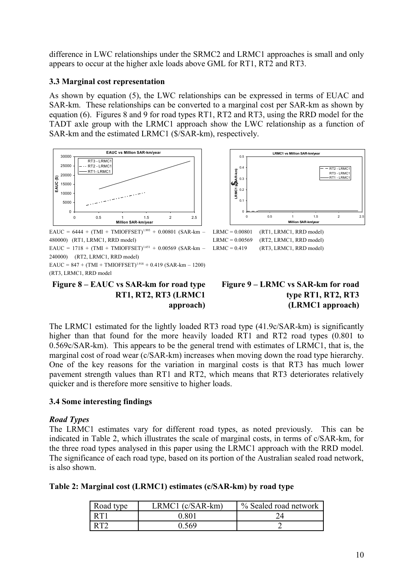difference in LWC relationships under the SRMC2 and LRMC1 approaches is small and only appears to occur at the higher axle loads above GML for RT1, RT2 and RT3.

## **3.3 Marginal cost representation**

As shown by equation (5), the LWC relationships can be expressed in terms of EUAC and SAR-km. These relationships can be converted to a marginal cost per SAR-km as shown by equation (6). Figures 8 and 9 for road types RT1, RT2 and RT3, using the RRD model for the TADT axle group with the LRMC1 approach show the LWC relationship as a function of SAR-km and the estimated LRMC1 (\$/SAR-km), respectively.



EAUC =  $6444 + (TMI + TMIOFFSET)^{1.995} + 0.00801$  (SAR-km – 480000) (RT1, LRMC1, RRD model) EAUC =  $1718 + (TMI + TMIOFFSET)^{1.651} + 0.00569$  (SAR-km – 240000) (RT2, LRMC1, RRD model)  $EAUC = 847 + (TMI + TMIOFFSET)^{1.918} + 0.419$  (SAR-km – 1200) (RT3, LRMC1, RRD model



 $LRMC = 0.00801$  (RT1, LRMC1, RRD model)  $LRMC = 0.00569$  (RT2, LRMC1, RRD model)  $LRMC = 0.419$  (RT3, LRMC1, RRD model)

# **Figure 8 – EAUC vs SAR-km for road type RT1, RT2, RT3 (LRMC1 approach)**



The LRMC1 estimated for the lightly loaded RT3 road type (41.9c/SAR-km) is significantly higher than that found for the more heavily loaded RT1 and RT2 road types  $(0.801)$  to 0.569c/SAR-km). This appears to be the general trend with estimates of LRMC1, that is, the marginal cost of road wear (c/SAR-km) increases when moving down the road type hierarchy. One of the key reasons for the variation in marginal costs is that RT3 has much lower pavement strength values than RT1 and RT2, which means that RT3 deteriorates relatively quicker and is therefore more sensitive to higher loads.

# **3.4 Some interesting findings**

## *Road Types*

The LRMC1 estimates vary for different road types, as noted previously. This can be indicated in Table 2, which illustrates the scale of marginal costs, in terms of c/SAR-km, for the three road types analysed in this paper using the LRMC1 approach with the RRD model. The significance of each road type, based on its portion of the Australian sealed road network, is also shown.

| Road type | LRMC1 (c/SAR-km) | % Sealed road network |
|-----------|------------------|-----------------------|
|           | 0 80°            |                       |
|           | 569              |                       |

## **Table 2: Marginal cost (LRMC1) estimates (c/SAR-km) by road type**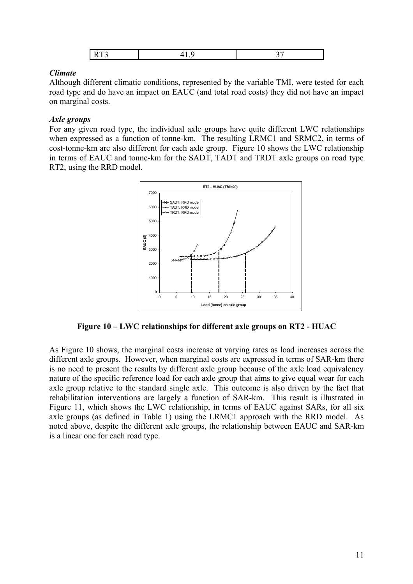|--|

#### *Climate*

Although different climatic conditions, represented by the variable TMI, were tested for each road type and do have an impact on EAUC (and total road costs) they did not have an impact on marginal costs.

#### *Axle groups*

For any given road type, the individual axle groups have quite different LWC relationships when expressed as a function of tonne-km. The resulting LRMC1 and SRMC2, in terms of cost-tonne-km are also different for each axle group. Figure 10 shows the LWC relationship in terms of EAUC and tonne-km for the SADT, TADT and TRDT axle groups on road type RT2, using the RRD model.



**Figure 10 – LWC relationships for different axle groups on RT2 - HUAC**

As Figure 10 shows, the marginal costs increase at varying rates as load increases across the different axle groups. However, when marginal costs are expressed in terms of SAR-km there is no need to present the results by different axle group because of the axle load equivalency nature of the specific reference load for each axle group that aims to give equal wear for each axle group relative to the standard single axle. This outcome is also driven by the fact that rehabilitation interventions are largely a function of SAR-km. This result is illustrated in Figure 11, which shows the LWC relationship, in terms of EAUC against SARs, for all six axle groups (as defined in Table 1) using the LRMC1 approach with the RRD model. As noted above, despite the different axle groups, the relationship between EAUC and SAR-km is a linear one for each road type.